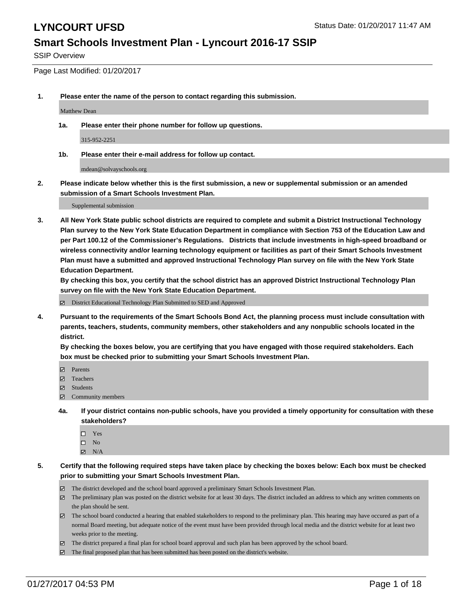SSIP Overview

Page Last Modified: 01/20/2017

**1. Please enter the name of the person to contact regarding this submission.**

Matthew Dean

**1a. Please enter their phone number for follow up questions.**

315-952-2251

**1b. Please enter their e-mail address for follow up contact.**

mdean@solvayschools.org

**2. Please indicate below whether this is the first submission, a new or supplemental submission or an amended submission of a Smart Schools Investment Plan.**

Supplemental submission

**3. All New York State public school districts are required to complete and submit a District Instructional Technology Plan survey to the New York State Education Department in compliance with Section 753 of the Education Law and per Part 100.12 of the Commissioner's Regulations. Districts that include investments in high-speed broadband or wireless connectivity and/or learning technology equipment or facilities as part of their Smart Schools Investment Plan must have a submitted and approved Instructional Technology Plan survey on file with the New York State Education Department.** 

**By checking this box, you certify that the school district has an approved District Instructional Technology Plan survey on file with the New York State Education Department.**

District Educational Technology Plan Submitted to SED and Approved

**4. Pursuant to the requirements of the Smart Schools Bond Act, the planning process must include consultation with parents, teachers, students, community members, other stakeholders and any nonpublic schools located in the district.** 

**By checking the boxes below, you are certifying that you have engaged with those required stakeholders. Each box must be checked prior to submitting your Smart Schools Investment Plan.**

- **Parents**
- Teachers
- **冈** Students
- Community members
- **4a. If your district contains non-public schools, have you provided a timely opportunity for consultation with these stakeholders?**
	- □ Yes
	- $\square$  No
	- $\boxtimes$  N/A
- **5. Certify that the following required steps have taken place by checking the boxes below: Each box must be checked prior to submitting your Smart Schools Investment Plan.**
	- The district developed and the school board approved a preliminary Smart Schools Investment Plan.
	- The preliminary plan was posted on the district website for at least 30 days. The district included an address to which any written comments on the plan should be sent.
	- The school board conducted a hearing that enabled stakeholders to respond to the preliminary plan. This hearing may have occured as part of a normal Board meeting, but adequate notice of the event must have been provided through local media and the district website for at least two weeks prior to the meeting.
	- The district prepared a final plan for school board approval and such plan has been approved by the school board.
	- $\boxtimes$  The final proposed plan that has been submitted has been posted on the district's website.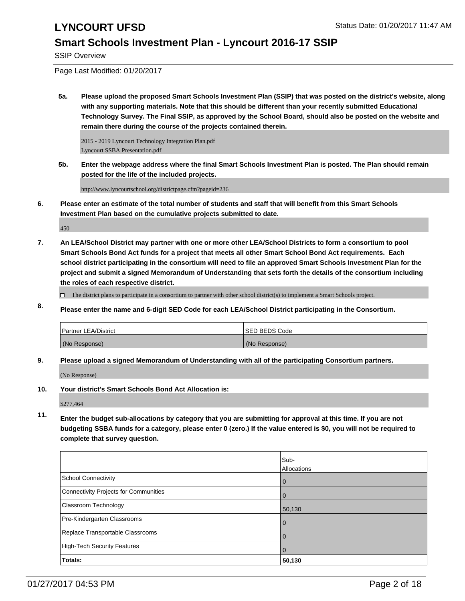SSIP Overview

Page Last Modified: 01/20/2017

**5a. Please upload the proposed Smart Schools Investment Plan (SSIP) that was posted on the district's website, along with any supporting materials. Note that this should be different than your recently submitted Educational Technology Survey. The Final SSIP, as approved by the School Board, should also be posted on the website and remain there during the course of the projects contained therein.**

2015 - 2019 Lyncourt Technology Integration Plan.pdf Lyncourt SSBA Presentation.pdf

**5b. Enter the webpage address where the final Smart Schools Investment Plan is posted. The Plan should remain posted for the life of the included projects.**

http://www.lyncourtschool.org/districtpage.cfm?pageid=236

**6. Please enter an estimate of the total number of students and staff that will benefit from this Smart Schools Investment Plan based on the cumulative projects submitted to date.**

450

**7. An LEA/School District may partner with one or more other LEA/School Districts to form a consortium to pool Smart Schools Bond Act funds for a project that meets all other Smart School Bond Act requirements. Each school district participating in the consortium will need to file an approved Smart Schools Investment Plan for the project and submit a signed Memorandum of Understanding that sets forth the details of the consortium including the roles of each respective district.**

 $\Box$  The district plans to participate in a consortium to partner with other school district(s) to implement a Smart Schools project.

**8. Please enter the name and 6-digit SED Code for each LEA/School District participating in the Consortium.**

| <b>Partner LEA/District</b> | ISED BEDS Code |
|-----------------------------|----------------|
| (No Response)               | (No Response)  |

**9. Please upload a signed Memorandum of Understanding with all of the participating Consortium partners.**

(No Response)

**10. Your district's Smart Schools Bond Act Allocation is:**

\$277,464

**11. Enter the budget sub-allocations by category that you are submitting for approval at this time. If you are not budgeting SSBA funds for a category, please enter 0 (zero.) If the value entered is \$0, you will not be required to complete that survey question.**

|                                       | Sub-<br>Allocations |
|---------------------------------------|---------------------|
| School Connectivity                   | $\mathbf 0$         |
| Connectivity Projects for Communities | $\mathbf 0$         |
| <b>Classroom Technology</b>           | 50,130              |
| Pre-Kindergarten Classrooms           | $\overline{0}$      |
| Replace Transportable Classrooms      | $\mathbf 0$         |
| High-Tech Security Features           | $\overline{0}$      |
| Totals:                               | 50,130              |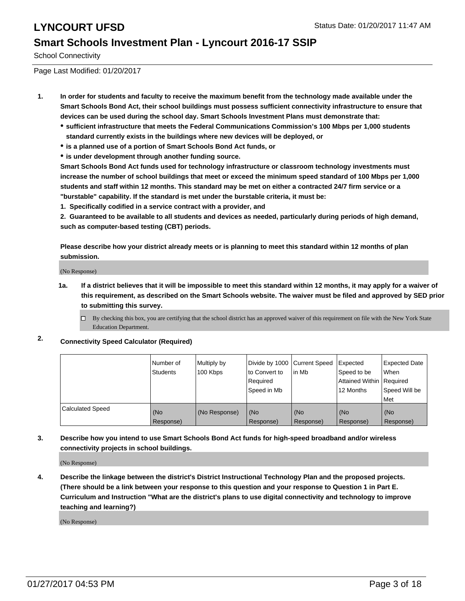School Connectivity

Page Last Modified: 01/20/2017

- **1. In order for students and faculty to receive the maximum benefit from the technology made available under the Smart Schools Bond Act, their school buildings must possess sufficient connectivity infrastructure to ensure that devices can be used during the school day. Smart Schools Investment Plans must demonstrate that:**
	- **sufficient infrastructure that meets the Federal Communications Commission's 100 Mbps per 1,000 students standard currently exists in the buildings where new devices will be deployed, or**
	- **is a planned use of a portion of Smart Schools Bond Act funds, or**
	- **is under development through another funding source.**

**Smart Schools Bond Act funds used for technology infrastructure or classroom technology investments must increase the number of school buildings that meet or exceed the minimum speed standard of 100 Mbps per 1,000 students and staff within 12 months. This standard may be met on either a contracted 24/7 firm service or a "burstable" capability. If the standard is met under the burstable criteria, it must be:**

**1. Specifically codified in a service contract with a provider, and**

**2. Guaranteed to be available to all students and devices as needed, particularly during periods of high demand, such as computer-based testing (CBT) periods.**

**Please describe how your district already meets or is planning to meet this standard within 12 months of plan submission.**

(No Response)

**1a. If a district believes that it will be impossible to meet this standard within 12 months, it may apply for a waiver of this requirement, as described on the Smart Schools website. The waiver must be filed and approved by SED prior to submitting this survey.**

 $\Box$ By checking this box, you are certifying that the school district has an approved waiver of this requirement on file with the New York State Education Department.

**2. Connectivity Speed Calculator (Required)**

|                         | l Number of<br>Students | Multiply by<br>100 Kbps | Divide by 1000 Current Speed<br>to Convert to<br>Reauired<br>Speed in Mb | in Mb            | Expected<br>Speed to be<br>Attained Within   Required<br>12 Months | <b>Expected Date</b><br>l When<br>Speed Will be<br>Met |
|-------------------------|-------------------------|-------------------------|--------------------------------------------------------------------------|------------------|--------------------------------------------------------------------|--------------------------------------------------------|
| <b>Calculated Speed</b> | (No<br>Response)        | (No Response)           | (No<br>Response)                                                         | (No<br>Response) | (No<br>Response)                                                   | (No<br>Response)                                       |

**3. Describe how you intend to use Smart Schools Bond Act funds for high-speed broadband and/or wireless connectivity projects in school buildings.**

(No Response)

**4. Describe the linkage between the district's District Instructional Technology Plan and the proposed projects. (There should be a link between your response to this question and your response to Question 1 in Part E. Curriculum and Instruction "What are the district's plans to use digital connectivity and technology to improve teaching and learning?)**

(No Response)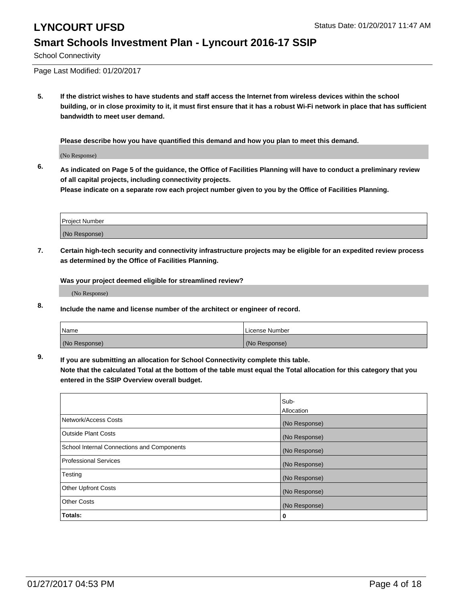School Connectivity

Page Last Modified: 01/20/2017

**5. If the district wishes to have students and staff access the Internet from wireless devices within the school building, or in close proximity to it, it must first ensure that it has a robust Wi-Fi network in place that has sufficient bandwidth to meet user demand.**

**Please describe how you have quantified this demand and how you plan to meet this demand.**

(No Response)

**6. As indicated on Page 5 of the guidance, the Office of Facilities Planning will have to conduct a preliminary review of all capital projects, including connectivity projects.**

**Please indicate on a separate row each project number given to you by the Office of Facilities Planning.**

| Project Number |  |
|----------------|--|
|                |  |
| (No Response)  |  |

**7. Certain high-tech security and connectivity infrastructure projects may be eligible for an expedited review process as determined by the Office of Facilities Planning.**

**Was your project deemed eligible for streamlined review?**

(No Response)

**8. Include the name and license number of the architect or engineer of record.**

| <b>Name</b>   | License Number |
|---------------|----------------|
| (No Response) | (No Response)  |

**9. If you are submitting an allocation for School Connectivity complete this table.**

**Note that the calculated Total at the bottom of the table must equal the Total allocation for this category that you entered in the SSIP Overview overall budget.** 

|                                            | Sub-              |
|--------------------------------------------|-------------------|
|                                            | <b>Allocation</b> |
| Network/Access Costs                       | (No Response)     |
| <b>Outside Plant Costs</b>                 | (No Response)     |
| School Internal Connections and Components | (No Response)     |
| <b>Professional Services</b>               | (No Response)     |
| Testing                                    | (No Response)     |
| <b>Other Upfront Costs</b>                 | (No Response)     |
| <b>Other Costs</b>                         | (No Response)     |
| Totals:                                    | 0                 |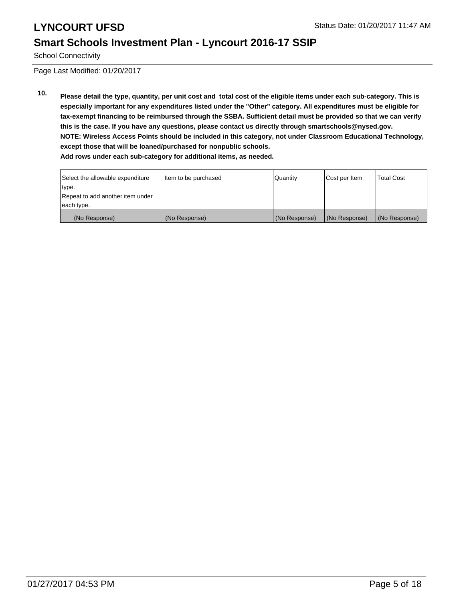School Connectivity

Page Last Modified: 01/20/2017

**10. Please detail the type, quantity, per unit cost and total cost of the eligible items under each sub-category. This is especially important for any expenditures listed under the "Other" category. All expenditures must be eligible for tax-exempt financing to be reimbursed through the SSBA. Sufficient detail must be provided so that we can verify this is the case. If you have any questions, please contact us directly through smartschools@nysed.gov. NOTE: Wireless Access Points should be included in this category, not under Classroom Educational Technology, except those that will be loaned/purchased for nonpublic schools. Add rows under each sub-category for additional items, as needed.**

| Select the allowable expenditure | Item to be purchased | <b>Quantity</b> | Cost per Item | <b>Total Cost</b> |
|----------------------------------|----------------------|-----------------|---------------|-------------------|
| type.                            |                      |                 |               |                   |
| Repeat to add another item under |                      |                 |               |                   |
| each type.                       |                      |                 |               |                   |
| (No Response)                    | (No Response)        | (No Response)   | (No Response) | (No Response)     |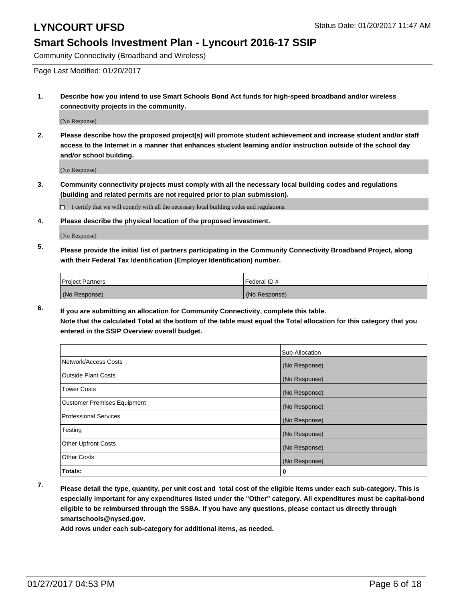Community Connectivity (Broadband and Wireless)

Page Last Modified: 01/20/2017

**1. Describe how you intend to use Smart Schools Bond Act funds for high-speed broadband and/or wireless connectivity projects in the community.**

(No Response)

**2. Please describe how the proposed project(s) will promote student achievement and increase student and/or staff access to the Internet in a manner that enhances student learning and/or instruction outside of the school day and/or school building.**

(No Response)

**3. Community connectivity projects must comply with all the necessary local building codes and regulations (building and related permits are not required prior to plan submission).**

 $\Box$  I certify that we will comply with all the necessary local building codes and regulations.

**4. Please describe the physical location of the proposed investment.**

(No Response)

**5. Please provide the initial list of partners participating in the Community Connectivity Broadband Project, along with their Federal Tax Identification (Employer Identification) number.**

| <b>Project Partners</b> | Federal ID#   |
|-------------------------|---------------|
| (No Response)           | (No Response) |

**6. If you are submitting an allocation for Community Connectivity, complete this table. Note that the calculated Total at the bottom of the table must equal the Total allocation for this category that you entered in the SSIP Overview overall budget.**

|                                    | Sub-Allocation |
|------------------------------------|----------------|
|                                    |                |
| Network/Access Costs               | (No Response)  |
| <b>Outside Plant Costs</b>         | (No Response)  |
| <b>Tower Costs</b>                 | (No Response)  |
| <b>Customer Premises Equipment</b> | (No Response)  |
| <b>Professional Services</b>       | (No Response)  |
| Testing                            | (No Response)  |
| <b>Other Upfront Costs</b>         | (No Response)  |
| <b>Other Costs</b>                 | (No Response)  |
| Totals:                            | 0              |

**7. Please detail the type, quantity, per unit cost and total cost of the eligible items under each sub-category. This is especially important for any expenditures listed under the "Other" category. All expenditures must be capital-bond eligible to be reimbursed through the SSBA. If you have any questions, please contact us directly through smartschools@nysed.gov.**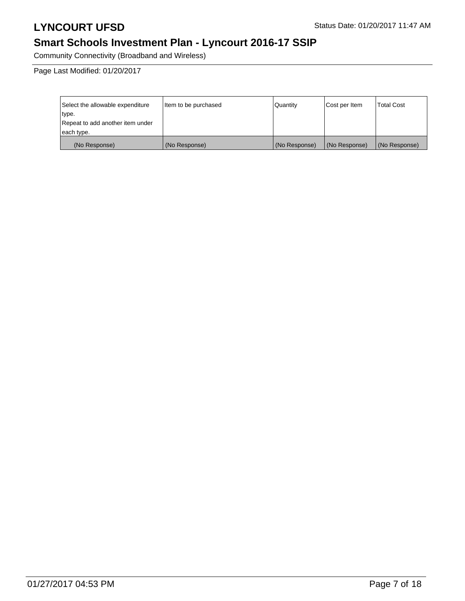## **Smart Schools Investment Plan - Lyncourt 2016-17 SSIP**

Community Connectivity (Broadband and Wireless)

Page Last Modified: 01/20/2017

| Select the allowable expenditure | litem to be purchased | Quantity      | Cost per Item | <b>Total Cost</b> |
|----------------------------------|-----------------------|---------------|---------------|-------------------|
| type.                            |                       |               |               |                   |
| Repeat to add another item under |                       |               |               |                   |
| each type.                       |                       |               |               |                   |
| (No Response)                    | (No Response)         | (No Response) | (No Response) | (No Response)     |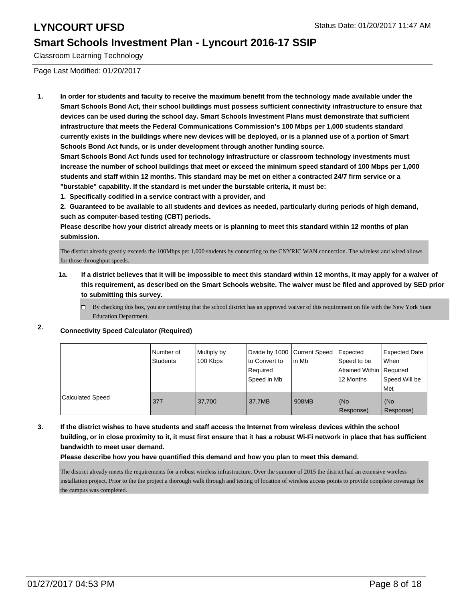Classroom Learning Technology

Page Last Modified: 01/20/2017

**1. In order for students and faculty to receive the maximum benefit from the technology made available under the Smart Schools Bond Act, their school buildings must possess sufficient connectivity infrastructure to ensure that devices can be used during the school day. Smart Schools Investment Plans must demonstrate that sufficient infrastructure that meets the Federal Communications Commission's 100 Mbps per 1,000 students standard currently exists in the buildings where new devices will be deployed, or is a planned use of a portion of Smart Schools Bond Act funds, or is under development through another funding source.**

**Smart Schools Bond Act funds used for technology infrastructure or classroom technology investments must increase the number of school buildings that meet or exceed the minimum speed standard of 100 Mbps per 1,000 students and staff within 12 months. This standard may be met on either a contracted 24/7 firm service or a "burstable" capability. If the standard is met under the burstable criteria, it must be:**

**1. Specifically codified in a service contract with a provider, and**

**2. Guaranteed to be available to all students and devices as needed, particularly during periods of high demand, such as computer-based testing (CBT) periods.**

**Please describe how your district already meets or is planning to meet this standard within 12 months of plan submission.**

The district already greatly exceeds the 100Mbps per 1,000 students by connecting to the CNYRIC WAN connection. The wireless and wired allows for those throughput speeds.

- **1a. If a district believes that it will be impossible to meet this standard within 12 months, it may apply for a waiver of this requirement, as described on the Smart Schools website. The waiver must be filed and approved by SED prior to submitting this survey.**
	- $\Box$  By checking this box, you are certifying that the school district has an approved waiver of this requirement on file with the New York State Education Department.

### **2. Connectivity Speed Calculator (Required)**

|                  | Number of<br><b>Students</b> | Multiply by<br>100 Kbps | Divide by 1000 Current Speed<br>lto Convert to<br>Required<br>Speed in Mb | lin Mb | Expected<br>Speed to be<br>Attained Within   Required<br>12 Months | <b>Expected Date</b><br>l When<br>Speed Will be<br>Met |
|------------------|------------------------------|-------------------------|---------------------------------------------------------------------------|--------|--------------------------------------------------------------------|--------------------------------------------------------|
| Calculated Speed | 377                          | 37.700                  | 37.7MB                                                                    | 908MB  | (No<br>Response)                                                   | l (No<br>Response)                                     |

**3. If the district wishes to have students and staff access the Internet from wireless devices within the school building, or in close proximity to it, it must first ensure that it has a robust Wi-Fi network in place that has sufficient bandwidth to meet user demand.**

**Please describe how you have quantified this demand and how you plan to meet this demand.**

The district already meets the requirements for a robust wireless infrastructure. Over the summer of 2015 the district had an extensive wireless installation project. Prior to the the project a thorough walk through and testing of location of wireless access points to provide complete coverage for the campus was completed.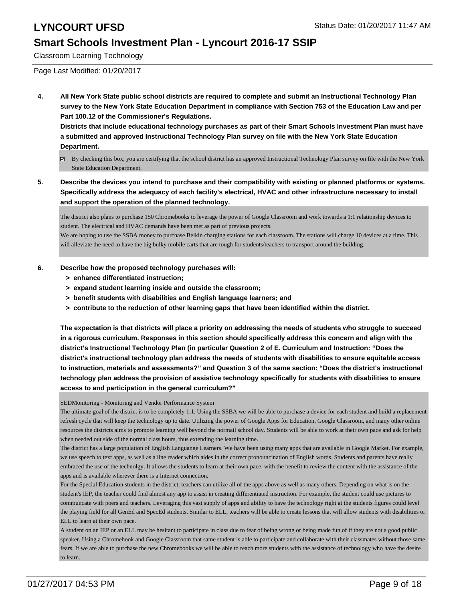Classroom Learning Technology

Page Last Modified: 01/20/2017

**4. All New York State public school districts are required to complete and submit an Instructional Technology Plan survey to the New York State Education Department in compliance with Section 753 of the Education Law and per Part 100.12 of the Commissioner's Regulations.**

**Districts that include educational technology purchases as part of their Smart Schools Investment Plan must have a submitted and approved Instructional Technology Plan survey on file with the New York State Education Department.**

- By checking this box, you are certifying that the school district has an approved Instructional Technology Plan survey on file with the New York State Education Department.
- **5. Describe the devices you intend to purchase and their compatibility with existing or planned platforms or systems. Specifically address the adequacy of each facility's electrical, HVAC and other infrastructure necessary to install and support the operation of the planned technology.**

The district also plans to purchase 150 Chromebooks to leverage the power of Google Classroom and work towards a 1:1 relationship devices to student. The electrical and HVAC demands have been met as part of previous projects.

We are hoping to use the SSBA money to purchase Belkin charging stations for each classroom. The stations will charge 10 devices at a time. This will alleviate the need to have the big bulky mobile carts that are tough for students/teachers to transport around the building.

### **6. Describe how the proposed technology purchases will:**

- **> enhance differentiated instruction;**
- **> expand student learning inside and outside the classroom;**
- **> benefit students with disabilities and English language learners; and**
- **> contribute to the reduction of other learning gaps that have been identified within the district.**

**The expectation is that districts will place a priority on addressing the needs of students who struggle to succeed in a rigorous curriculum. Responses in this section should specifically address this concern and align with the district's Instructional Technology Plan (in particular Question 2 of E. Curriculum and Instruction: "Does the district's instructional technology plan address the needs of students with disabilities to ensure equitable access to instruction, materials and assessments?" and Question 3 of the same section: "Does the district's instructional technology plan address the provision of assistive technology specifically for students with disabilities to ensure access to and participation in the general curriculum?"**

### SEDMonitoring - Monitoring and Vendor Performance System

The ultimate goal of the district is to be completely 1:1. Using the SSBA we will be able to purchase a device for each student and build a replacement refresh cycle that will keep the technology up to date. Utilizing the power of Google Apps for Education, Google Classroom, and many other online resources the districts aims to promote learning well beyond the normail school day. Students will be able to work at their own pace and ask for help when needed out side of the normal class hours, thus extending the learning time.

The district has a large population of English Languange Learners. We have been using many apps that are available in Google Market. For example, we use speech to text apps, as well as a line reader which aides in the correct pronouncination of English words. Students and parents have really embraced the use of the technolgy. It allows the students to learn at their own pace, with the benefit to review the content with the assistance of the apps and is available wherever there is a Internet connection.

For the Special Education students in the district, teachers can utilize all of the apps above as well as many others. Depending on what is on the student's IEP, the teacher could find almost any app to assist in creating differentiated instruction. For example, the student could use pictures to communcate with poers and teachers. Leveraging this vast supply of apps and ability to have the technology right at the students figures could level the playing field for all GenEd and SpecEd students. Similar to ELL, teachers will be able to create lessons that will allow students with disabilities or ELL to learn at their own pace.

A student on an IEP or an ELL may be hesitant to participate in class due to fear of being wrong or being made fun of if they are not a good public speaker. Using a Chromebook and Google Classroom that same student is able to participate and collaborate with their classmates without those same fears. If we are able to purchase the new Chromebooks we will be able to reach more students with the assistance of technology who have the desire to learn.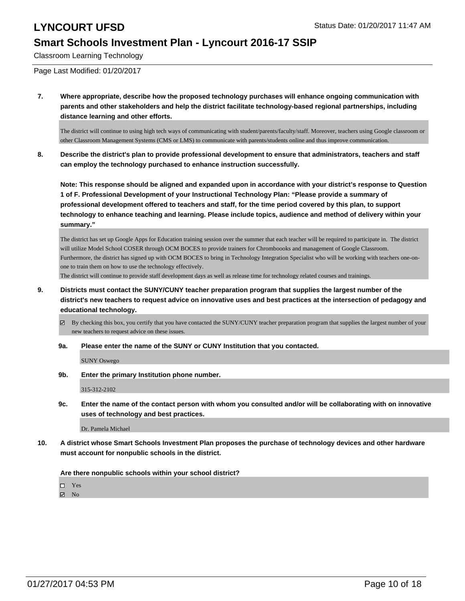Classroom Learning Technology

Page Last Modified: 01/20/2017

**7. Where appropriate, describe how the proposed technology purchases will enhance ongoing communication with parents and other stakeholders and help the district facilitate technology-based regional partnerships, including distance learning and other efforts.**

The district will continue to using high tech ways of communicating with student/parents/faculty/staff. Moreover, teachers using Google classroom or other Classroom Management Systems (CMS or LMS) to communicate with parents/students online and thus improve communication.

**8. Describe the district's plan to provide professional development to ensure that administrators, teachers and staff can employ the technology purchased to enhance instruction successfully.**

**Note: This response should be aligned and expanded upon in accordance with your district's response to Question 1 of F. Professional Development of your Instructional Technology Plan: "Please provide a summary of professional development offered to teachers and staff, for the time period covered by this plan, to support technology to enhance teaching and learning. Please include topics, audience and method of delivery within your summary."**

The district has set up Google Apps for Education training session over the summer that each teacher will be required to participate in. The district will utilize Model School COSER through OCM BOCES to provide trainers for Chromboooks and management of Google Classroom. Furthermore, the district has signed up with OCM BOCES to bring in Technology Integration Specialist who will be working with teachers one-onone to train them on how to use the technology effectively.

The district will continue to provide staff development days as well as release time for technology related courses and trainings.

- **9. Districts must contact the SUNY/CUNY teacher preparation program that supplies the largest number of the district's new teachers to request advice on innovative uses and best practices at the intersection of pedagogy and educational technology.**
	- $\boxtimes$  By checking this box, you certify that you have contacted the SUNY/CUNY teacher preparation program that supplies the largest number of your new teachers to request advice on these issues.
	- **9a. Please enter the name of the SUNY or CUNY Institution that you contacted.**

SUNY Oswego

**9b. Enter the primary Institution phone number.**

315-312-2102

**9c. Enter the name of the contact person with whom you consulted and/or will be collaborating with on innovative uses of technology and best practices.**

Dr. Pamela Michael

**10. A district whose Smart Schools Investment Plan proposes the purchase of technology devices and other hardware must account for nonpublic schools in the district.**

**Are there nonpublic schools within your school district?**

□ Yes

**Ø** No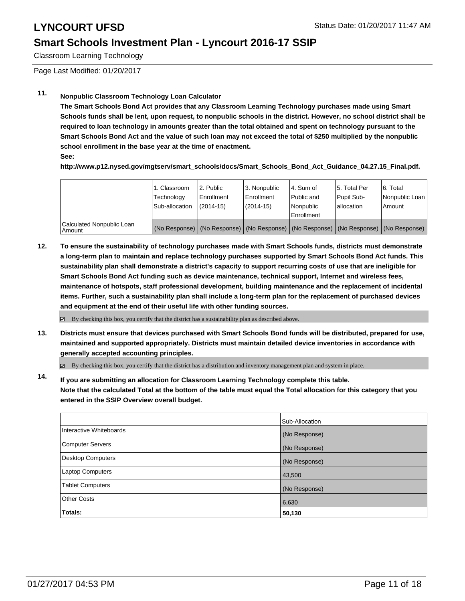Classroom Learning Technology

Page Last Modified: 01/20/2017

### **11. Nonpublic Classroom Technology Loan Calculator**

**The Smart Schools Bond Act provides that any Classroom Learning Technology purchases made using Smart Schools funds shall be lent, upon request, to nonpublic schools in the district. However, no school district shall be required to loan technology in amounts greater than the total obtained and spent on technology pursuant to the Smart Schools Bond Act and the value of such loan may not exceed the total of \$250 multiplied by the nonpublic school enrollment in the base year at the time of enactment.**

**See:**

**http://www.p12.nysed.gov/mgtserv/smart\_schools/docs/Smart\_Schools\_Bond\_Act\_Guidance\_04.27.15\_Final.pdf.**

|                                     | 1. Classroom<br>Technology<br>Sub-allocation | l 2. Public<br>l Enrollment<br>$(2014 - 15)$ | 3. Nonpublic<br><b>Enrollment</b><br>$(2014 - 15)$ | l 4. Sum of<br>l Public and<br>l Nonpublic<br>Enrollment                                      | 15. Total Per<br>Pupil Sub-<br>I allocation | 6. Total<br>Nonpublic Loan<br>Amount |
|-------------------------------------|----------------------------------------------|----------------------------------------------|----------------------------------------------------|-----------------------------------------------------------------------------------------------|---------------------------------------------|--------------------------------------|
| Calculated Nonpublic Loan<br>Amount |                                              |                                              |                                                    | (No Response)   (No Response)   (No Response)   (No Response)   (No Response)   (No Response) |                                             |                                      |

**12. To ensure the sustainability of technology purchases made with Smart Schools funds, districts must demonstrate a long-term plan to maintain and replace technology purchases supported by Smart Schools Bond Act funds. This sustainability plan shall demonstrate a district's capacity to support recurring costs of use that are ineligible for Smart Schools Bond Act funding such as device maintenance, technical support, Internet and wireless fees, maintenance of hotspots, staff professional development, building maintenance and the replacement of incidental items. Further, such a sustainability plan shall include a long-term plan for the replacement of purchased devices and equipment at the end of their useful life with other funding sources.**

By checking this box, you certify that the district has a sustainability plan as described above. ☑

**13. Districts must ensure that devices purchased with Smart Schools Bond funds will be distributed, prepared for use, maintained and supported appropriately. Districts must maintain detailed device inventories in accordance with generally accepted accounting principles.**

By checking this box, you certify that the district has a distribution and inventory management plan and system in place.

**14. If you are submitting an allocation for Classroom Learning Technology complete this table. Note that the calculated Total at the bottom of the table must equal the Total allocation for this category that you entered in the SSIP Overview overall budget.**

|                         | Sub-Allocation |
|-------------------------|----------------|
| Interactive Whiteboards | (No Response)  |
| Computer Servers        | (No Response)  |
| Desktop Computers       | (No Response)  |
| Laptop Computers        | 43,500         |
| <b>Tablet Computers</b> | (No Response)  |
| Other Costs             | 6,630          |
| Totals:                 | 50,130         |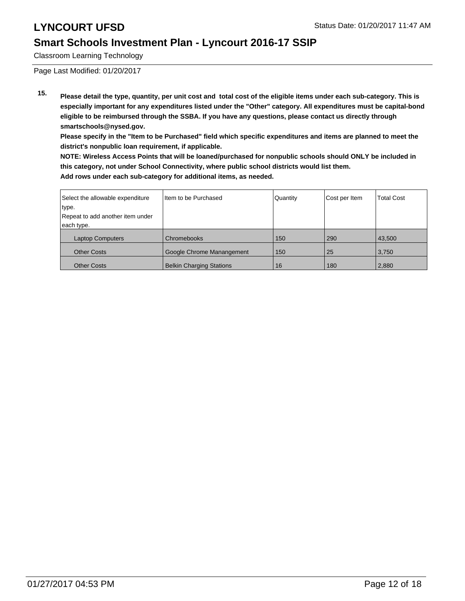Classroom Learning Technology

Page Last Modified: 01/20/2017

**15. Please detail the type, quantity, per unit cost and total cost of the eligible items under each sub-category. This is especially important for any expenditures listed under the "Other" category. All expenditures must be capital-bond eligible to be reimbursed through the SSBA. If you have any questions, please contact us directly through smartschools@nysed.gov.**

**Please specify in the "Item to be Purchased" field which specific expenditures and items are planned to meet the district's nonpublic loan requirement, if applicable.**

**NOTE: Wireless Access Points that will be loaned/purchased for nonpublic schools should ONLY be included in this category, not under School Connectivity, where public school districts would list them. Add rows under each sub-category for additional items, as needed.**

| Select the allowable expenditure | Item to be Purchased            | Quantity | Cost per Item | <b>Total Cost</b> |
|----------------------------------|---------------------------------|----------|---------------|-------------------|
| type.                            |                                 |          |               |                   |
| Repeat to add another item under |                                 |          |               |                   |
| each type.                       |                                 |          |               |                   |
| <b>Laptop Computers</b>          | Chromebooks                     | 150      | 290           | 43.500            |
| <b>Other Costs</b>               | Google Chrome Manangement       | 150      | 25            | 3,750             |
| <b>Other Costs</b>               | <b>Belkin Charging Stations</b> | 16       | 180           | 2,880             |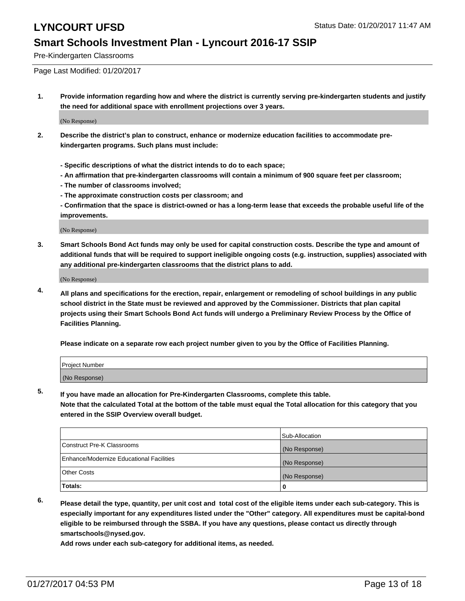Pre-Kindergarten Classrooms

Page Last Modified: 01/20/2017

**1. Provide information regarding how and where the district is currently serving pre-kindergarten students and justify the need for additional space with enrollment projections over 3 years.**

(No Response)

- **2. Describe the district's plan to construct, enhance or modernize education facilities to accommodate prekindergarten programs. Such plans must include:**
	- **Specific descriptions of what the district intends to do to each space;**
	- **An affirmation that pre-kindergarten classrooms will contain a minimum of 900 square feet per classroom;**
	- **The number of classrooms involved;**
	- **The approximate construction costs per classroom; and**
	- **Confirmation that the space is district-owned or has a long-term lease that exceeds the probable useful life of the improvements.**

(No Response)

**3. Smart Schools Bond Act funds may only be used for capital construction costs. Describe the type and amount of additional funds that will be required to support ineligible ongoing costs (e.g. instruction, supplies) associated with any additional pre-kindergarten classrooms that the district plans to add.**

(No Response)

**4. All plans and specifications for the erection, repair, enlargement or remodeling of school buildings in any public school district in the State must be reviewed and approved by the Commissioner. Districts that plan capital projects using their Smart Schools Bond Act funds will undergo a Preliminary Review Process by the Office of Facilities Planning.**

**Please indicate on a separate row each project number given to you by the Office of Facilities Planning.**

| Project Number |  |  |
|----------------|--|--|
| (No Response)  |  |  |

**5. If you have made an allocation for Pre-Kindergarten Classrooms, complete this table.**

**Note that the calculated Total at the bottom of the table must equal the Total allocation for this category that you entered in the SSIP Overview overall budget.**

|                                          | Sub-Allocation |
|------------------------------------------|----------------|
| Construct Pre-K Classrooms               | (No Response)  |
| Enhance/Modernize Educational Facilities | (No Response)  |
| Other Costs                              | (No Response)  |
| Totals:                                  |                |

**6. Please detail the type, quantity, per unit cost and total cost of the eligible items under each sub-category. This is especially important for any expenditures listed under the "Other" category. All expenditures must be capital-bond eligible to be reimbursed through the SSBA. If you have any questions, please contact us directly through smartschools@nysed.gov.**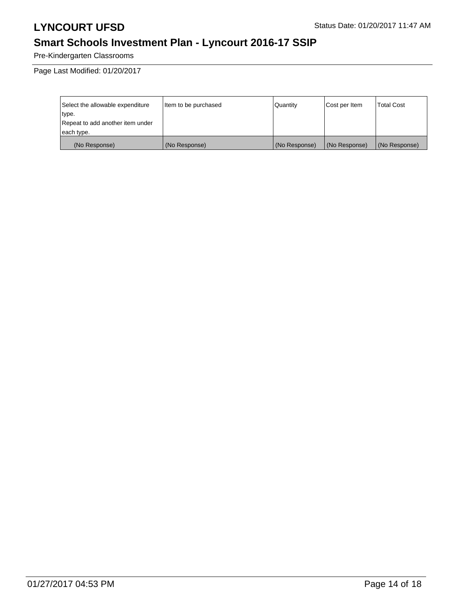## **Smart Schools Investment Plan - Lyncourt 2016-17 SSIP**

Pre-Kindergarten Classrooms

Page Last Modified: 01/20/2017

| Select the allowable expenditure | litem to be purchased | Quantity      | Cost per Item | <b>Total Cost</b> |
|----------------------------------|-----------------------|---------------|---------------|-------------------|
| type.                            |                       |               |               |                   |
| Repeat to add another item under |                       |               |               |                   |
| each type.                       |                       |               |               |                   |
| (No Response)                    | (No Response)         | (No Response) | (No Response) | (No Response)     |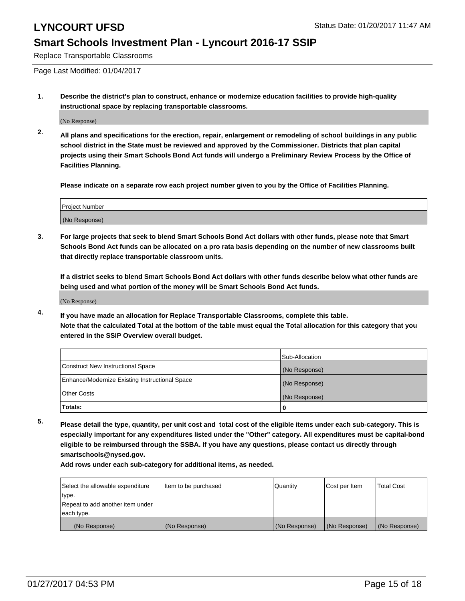Replace Transportable Classrooms

Page Last Modified: 01/04/2017

**1. Describe the district's plan to construct, enhance or modernize education facilities to provide high-quality instructional space by replacing transportable classrooms.**

(No Response)

**2. All plans and specifications for the erection, repair, enlargement or remodeling of school buildings in any public school district in the State must be reviewed and approved by the Commissioner. Districts that plan capital projects using their Smart Schools Bond Act funds will undergo a Preliminary Review Process by the Office of Facilities Planning.**

**Please indicate on a separate row each project number given to you by the Office of Facilities Planning.**

| <b>Project Number</b> |  |
|-----------------------|--|
| (No Response)         |  |

**3. For large projects that seek to blend Smart Schools Bond Act dollars with other funds, please note that Smart Schools Bond Act funds can be allocated on a pro rata basis depending on the number of new classrooms built that directly replace transportable classroom units.**

**If a district seeks to blend Smart Schools Bond Act dollars with other funds describe below what other funds are being used and what portion of the money will be Smart Schools Bond Act funds.**

(No Response)

**4. If you have made an allocation for Replace Transportable Classrooms, complete this table. Note that the calculated Total at the bottom of the table must equal the Total allocation for this category that you entered in the SSIP Overview overall budget.**

|                                                | Sub-Allocation |
|------------------------------------------------|----------------|
| Construct New Instructional Space              | (No Response)  |
| Enhance/Modernize Existing Instructional Space | (No Response)  |
| <b>Other Costs</b>                             | (No Response)  |
| Totals:                                        |                |

**5. Please detail the type, quantity, per unit cost and total cost of the eligible items under each sub-category. This is especially important for any expenditures listed under the "Other" category. All expenditures must be capital-bond eligible to be reimbursed through the SSBA. If you have any questions, please contact us directly through smartschools@nysed.gov.**

| Select the allowable expenditure | Item to be purchased | Quantity      | Cost per Item | <b>Total Cost</b> |
|----------------------------------|----------------------|---------------|---------------|-------------------|
| type.                            |                      |               |               |                   |
| Repeat to add another item under |                      |               |               |                   |
| each type.                       |                      |               |               |                   |
| (No Response)                    | (No Response)        | (No Response) | (No Response) | (No Response)     |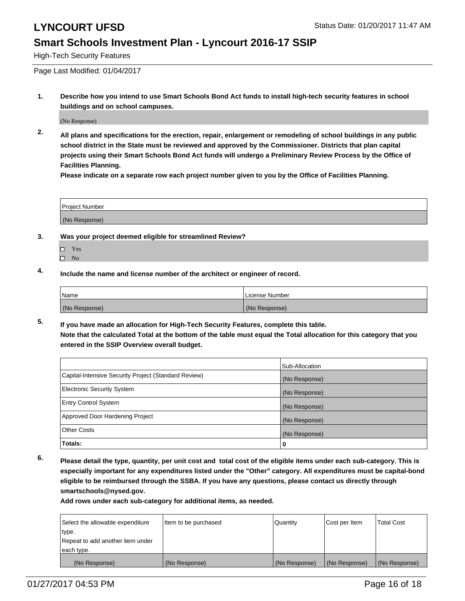High-Tech Security Features

Page Last Modified: 01/04/2017

**1. Describe how you intend to use Smart Schools Bond Act funds to install high-tech security features in school buildings and on school campuses.**

(No Response)

**2. All plans and specifications for the erection, repair, enlargement or remodeling of school buildings in any public school district in the State must be reviewed and approved by the Commissioner. Districts that plan capital projects using their Smart Schools Bond Act funds will undergo a Preliminary Review Process by the Office of Facilities Planning.** 

**Please indicate on a separate row each project number given to you by the Office of Facilities Planning.**

| Project Number |  |
|----------------|--|
| (No Response)  |  |

- **3. Was your project deemed eligible for streamlined Review?**
	- Yes
	- $\square$  No
- **4. Include the name and license number of the architect or engineer of record.**

| Name          | License Number |
|---------------|----------------|
| (No Response) | (No Response)  |

**5. If you have made an allocation for High-Tech Security Features, complete this table. Note that the calculated Total at the bottom of the table must equal the Total allocation for this category that you entered in the SSIP Overview overall budget.**

|                                                      | Sub-Allocation |
|------------------------------------------------------|----------------|
| Capital-Intensive Security Project (Standard Review) | (No Response)  |
| <b>Electronic Security System</b>                    | (No Response)  |
| <b>Entry Control System</b>                          | (No Response)  |
| Approved Door Hardening Project                      | (No Response)  |
| <b>Other Costs</b>                                   | (No Response)  |
| Totals:                                              | 0              |

**6. Please detail the type, quantity, per unit cost and total cost of the eligible items under each sub-category. This is especially important for any expenditures listed under the "Other" category. All expenditures must be capital-bond eligible to be reimbursed through the SSBA. If you have any questions, please contact us directly through smartschools@nysed.gov.**

| Select the allowable expenditure | Item to be purchased | <b>Quantity</b> | Cost per Item | <b>Total Cost</b> |
|----------------------------------|----------------------|-----------------|---------------|-------------------|
| type.                            |                      |                 |               |                   |
| Repeat to add another item under |                      |                 |               |                   |
| each type.                       |                      |                 |               |                   |
| (No Response)                    | (No Response)        | (No Response)   | (No Response) | (No Response)     |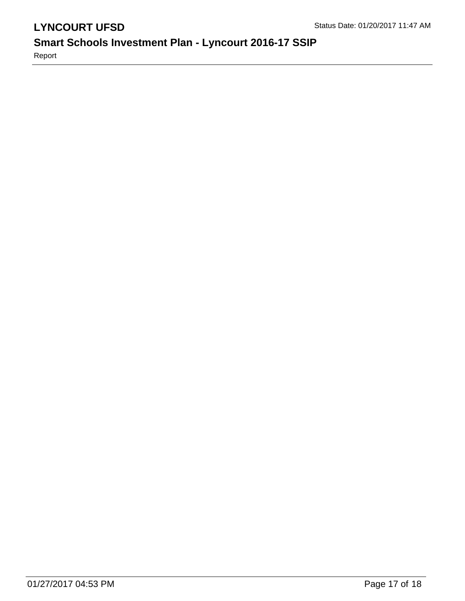## **Smart Schools Investment Plan - Lyncourt 2016-17 SSIP**

Report